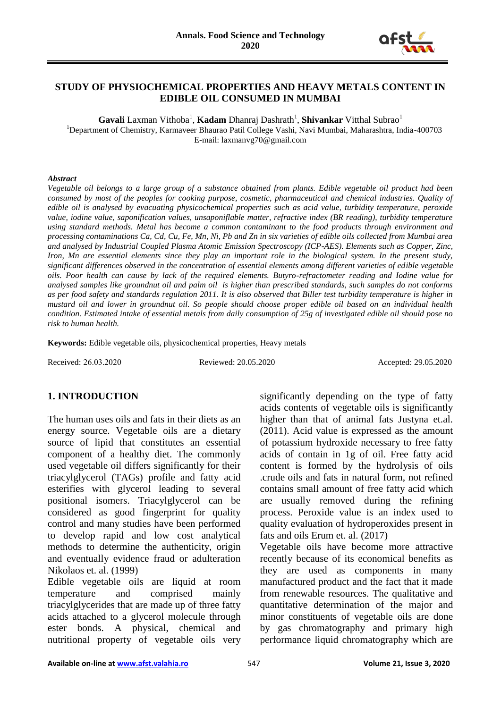

#### **STUDY OF PHYSIOCHEMICAL PROPERTIES AND HEAVY METALS CONTENT IN EDIBLE OIL CONSUMED IN MUMBAI**

Gavali Laxman Vithoba<sup>1</sup>, Kadam Dhanraj Dashrath<sup>1</sup>, Shivankar Vitthal Subrao<sup>1</sup> <sup>1</sup>Department of Chemistry, Karmaveer Bhaurao Patil College Vashi, Navi Mumbai, Maharashtra, India-400703

E-mail: laxmanvg70@gmail.com

#### *Abstract*

*Vegetable oil belongs to a large group of a substance obtained from plants. Edible vegetable oil product had been consumed by most of the peoples for cooking purpose, cosmetic, pharmaceutical and chemical industries. Quality of edible oil is analysed by evacuating physicochemical properties such as acid value, turbidity temperature, peroxide value, iodine value, saponification values, unsaponiflable matter, refractive index (BR reading), turbidity temperature using standard methods. Metal has become a common contaminant to the food products through environment and processing contaminations Ca, Cd, Cu, Fe, Mn, Ni, Pb and Zn in six varieties of edible oils collected from Mumbai area and analysed by Industrial Coupled Plasma Atomic Emission Spectroscopy (ICP-AES). Elements such as Copper, Zinc, Iron, Mn are essential elements since they play an important role in the biological system. In the present study, significant differences observed in the concentration of essential elements among different varieties of edible vegetable oils. Poor health can cause by lack of the required elements. Butyro-refractometer reading and Iodine value for analysed samples like groundnut oil and palm oil is higher than prescribed standards, such samples do not conforms as per food safety and standards regulation 2011. It is also observed that Biller test turbidity temperature is higher in mustard oil and lower in groundnut oil. So people should choose proper edible oil based on an individual health condition. Estimated intake of essential metals from daily consumption of 25g of investigated edible oil should pose no risk to human health.*

**Keywords:** Edible vegetable oils, physicochemical properties, Heavy metals

Received: 26.03.2020 Reviewed: 20.05.2020 Accepted: 29.05.2020

## **1. INTRODUCTION**

The human uses oils and fats in their diets as an energy source. Vegetable oils are a dietary source of lipid that constitutes an essential component of a healthy diet. The commonly used vegetable oil differs significantly for their triacylglycerol (TAGs) profile and fatty acid esterifies with glycerol leading to several positional isomers. Triacylglycerol can be considered as good fingerprint for quality control and many studies have been performed to develop rapid and low cost analytical methods to determine the authenticity, origin and eventually evidence fraud or adulteration Nikolaos et. al. (1999)

Edible vegetable oils are liquid at room temperature and comprised mainly triacylglycerides that are made up of three fatty acids attached to a glycerol molecule through ester bonds. A physical, chemical and nutritional property of vegetable oils very

significantly depending on the type of fatty acids contents of vegetable oils is significantly higher than that of animal fats Justyna et.al. (2011). Acid value is expressed as the amount of potassium hydroxide necessary to free fatty acids of contain in 1g of oil. Free fatty acid content is formed by the hydrolysis of oils .crude oils and fats in natural form, not refined contains small amount of free fatty acid which are usually removed during the refining process. Peroxide value is an index used to quality evaluation of hydroperoxides present in fats and oils Erum et. al. (2017)

Vegetable oils have become more attractive recently because of its economical benefits as they are used as components in many manufactured product and the fact that it made from renewable resources. The qualitative and quantitative determination of the major and minor constituents of vegetable oils are done by gas chromatography and primary high performance liquid chromatography which are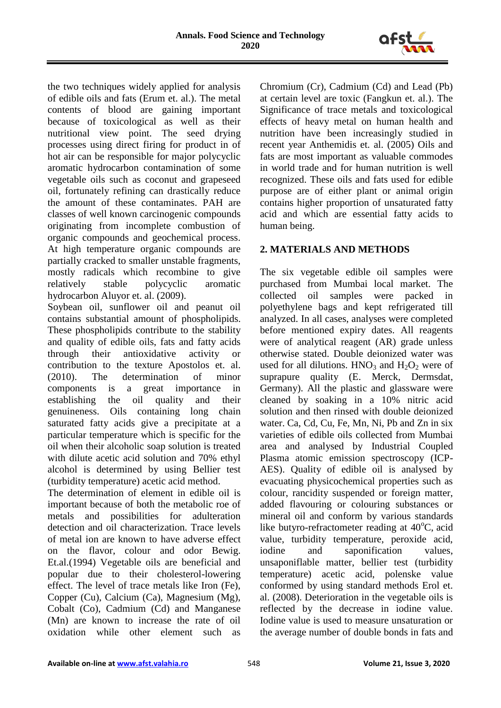

the two techniques widely applied for analysis of edible oils and fats (Erum et. al.). The metal contents of blood are gaining important because of toxicological as well as their nutritional view point. The seed drying processes using direct firing for product in of hot air can be responsible for major polycyclic aromatic hydrocarbon contamination of some vegetable oils such as coconut and grapeseed oil, fortunately refining can drastically reduce the amount of these contaminates. PAH are classes of well known carcinogenic compounds originating from incomplete combustion of organic compounds and geochemical process. At high temperature organic compounds are partially cracked to smaller unstable fragments, mostly radicals which recombine to give relatively stable polycyclic aromatic hydrocarbon Aluyor et. al. (2009).

Soybean oil, sunflower oil and peanut oil contains substantial amount of phospholipids. These phospholipids contribute to the stability and quality of edible oils, fats and fatty acids through their antioxidative activity or contribution to the texture Apostolos et. al. (2010). The determination of minor components is a great importance in establishing the oil quality and their genuineness. Oils containing long chain saturated fatty acids give a precipitate at a particular temperature which is specific for the oil when their alcoholic soap solution is treated with dilute acetic acid solution and 70% ethyl alcohol is determined by using Bellier test (turbidity temperature) acetic acid method.

The determination of element in edible oil is important because of both the metabolic roe of metals and possibilities for adulteration detection and oil characterization. Trace levels of metal ion are known to have adverse effect on the flavor, colour and odor Bewig. Et.al.(1994) Vegetable oils are beneficial and popular due to their cholesterol-lowering effect. The level of trace metals like Iron (Fe), Copper (Cu), Calcium (Ca), Magnesium (Mg), Cobalt (Co), Cadmium (Cd) and Manganese (Mn) are known to increase the rate of oil oxidation while other element such as

Chromium (Cr), Cadmium (Cd) and Lead (Pb) at certain level are toxic (Fangkun et. al.). The Significance of trace metals and toxicological effects of heavy metal on human health and nutrition have been increasingly studied in recent year Anthemidis et. al. (2005) Oils and fats are most important as valuable commodes in world trade and for human nutrition is well recognized. These oils and fats used for edible purpose are of either plant or animal origin contains higher proportion of unsaturated fatty acid and which are essential fatty acids to human being.

## **2. MATERIALS AND METHODS**

The six vegetable edible oil samples were purchased from Mumbai local market. The collected oil samples were packed in polyethylene bags and kept refrigerated till analyzed. In all cases, analyses were completed before mentioned expiry dates. All reagents were of analytical reagent (AR) grade unless otherwise stated. Double deionized water was used for all dilutions.  $HNO<sub>3</sub>$  and  $H<sub>2</sub>O<sub>2</sub>$  were of suprapure quality (E. Merck, Dermsdat, Germany). All the plastic and glassware were cleaned by soaking in a 10% nitric acid solution and then rinsed with double deionized water. Ca, Cd, Cu, Fe, Mn, Ni, Pb and Zn in six varieties of edible oils collected from Mumbai area and analysed by Industrial Coupled Plasma atomic emission spectroscopy (ICP-AES). Quality of edible oil is analysed by evacuating physicochemical properties such as colour, rancidity suspended or foreign matter, added flavouring or colouring substances or mineral oil and conform by various standards like butyro-refractometer reading at  $40^{\circ}$ C, acid value, turbidity temperature, peroxide acid, iodine and saponification values, unsaponiflable matter, bellier test (turbidity temperature) acetic acid, polenske value conformed by using standard methods Erol et. al. (2008). Deterioration in the vegetable oils is reflected by the decrease in iodine value. Iodine value is used to measure unsaturation or the average number of double bonds in fats and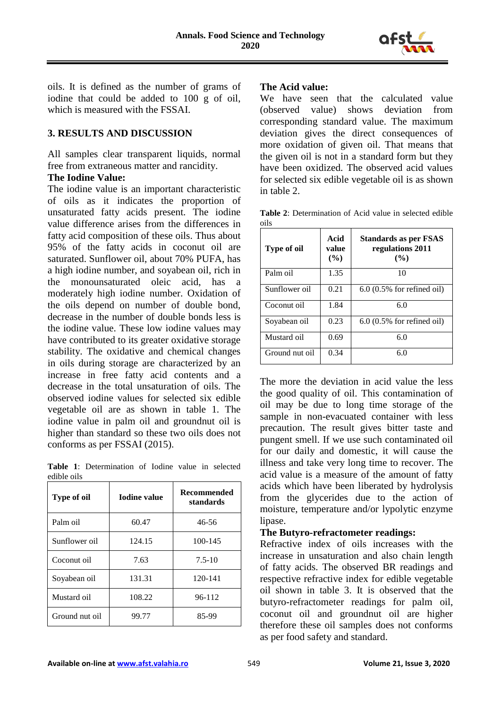

oils. It is defined as the number of grams of iodine that could be added to 100 g of oil, which is measured with the FSSAI.

## **3. RESULTS AND DISCUSSION**

All samples clear transparent liquids, normal free from extraneous matter and rancidity.

#### **The Iodine Value:**

The iodine value is an important characteristic of oils as it indicates the proportion of unsaturated fatty acids present. The iodine value difference arises from the differences in fatty acid composition of these oils. Thus about 95% of the fatty acids in coconut oil are saturated. Sunflower oil, about 70% PUFA, has a high iodine number, and soyabean oil, rich in the monounsaturated oleic acid, has a moderately high iodine number. Oxidation of the oils depend on number of double bond, decrease in the number of double bonds less is the iodine value. These low iodine values may have contributed to its greater oxidative storage stability. The oxidative and chemical changes in oils during storage are characterized by an increase in free fatty acid contents and a decrease in the total unsaturation of oils. The observed iodine values for selected six edible vegetable oil are as shown in table 1. The iodine value in palm oil and groundnut oil is higher than standard so these two oils does not conforms as per FSSAI (2015).

**Table 1**: Determination of Iodine value in selected edible oils

| Type of oil    | <b>Iodine value</b> | <b>Recommended</b><br>standards |
|----------------|---------------------|---------------------------------|
| Palm oil       | 60.47               | 46-56                           |
| Sunflower oil  | 124.15              | 100-145                         |
| Coconut oil    | 7.63                | $7.5 - 10$                      |
| Soyabean oil   | 131.31              | 120-141                         |
| Mustard oil    | 108.22              | 96-112                          |
| Ground nut oil | 99.77               | 85-99                           |

#### **The Acid value:**

We have seen that the calculated value (observed value) shows deviation from corresponding standard value. The maximum deviation gives the direct consequences of more oxidation of given oil. That means that the given oil is not in a standard form but they have been oxidized. The observed acid values for selected six edible vegetable oil is as shown in table 2.

**Table 2**: Determination of Acid value in selected edible oils

| <b>Type of oil</b> | Acid<br>value<br>(%) | Standards as per FSAS<br>regulations 2011<br>(%) |
|--------------------|----------------------|--------------------------------------------------|
| Palm oil           | 1.35                 | 10                                               |
| Sunflower oil      | 0.21                 | $6.0$ (0.5% for refined oil)                     |
| Coconut oil        | 1.84                 | 6.0                                              |
| Soyabean oil       | 0.23                 | $6.0$ (0.5% for refined oil)                     |
| Mustard oil        | 0.69                 | 6.0                                              |
| Ground nut oil     | 0.34                 | 6.0                                              |

The more the deviation in acid value the less the good quality of oil. This contamination of oil may be due to long time storage of the sample in non-evacuated container with less precaution. The result gives bitter taste and pungent smell. If we use such contaminated oil for our daily and domestic, it will cause the illness and take very long time to recover. The acid value is a measure of the amount of fatty acids which have been liberated by hydrolysis from the glycerides due to the action of moisture, temperature and/or lypolytic enzyme lipase.

#### **The Butyro-refractometer readings:**

Refractive index of oils increases with the increase in unsaturation and also chain length of fatty acids. The observed BR readings and respective refractive index for edible vegetable oil shown in table 3. It is observed that the butyro-refractometer readings for palm oil, coconut oil and groundnut oil are higher therefore these oil samples does not conforms as per food safety and standard.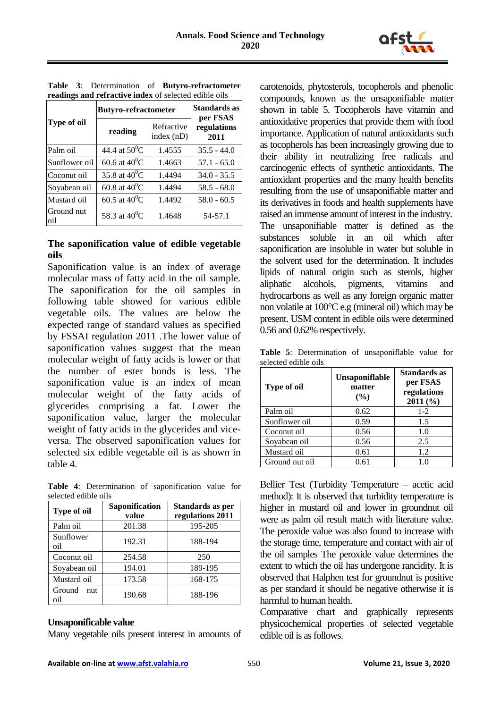

|                   | <b>Butyro-refractometer</b> | Standards as<br>per FSAS   |                     |
|-------------------|-----------------------------|----------------------------|---------------------|
| Type of oil       | reading                     | Refractive<br>index $(nD)$ | regulations<br>2011 |
| Palm oil          | 44.4 at $50^0C$             | 1.4555                     | $35.5 - 44.0$       |
| Sunflower oil     | 60.6 at $40^0C$             | 1.4663                     | $57.1 - 65.0$       |
| Coconut oil       | 35.8 at $40^0C$             | 1.4494                     | $34.0 - 35.5$       |
| Soyabean oil      | 60.8 at $40^0C$             | 1.4494                     | $58.5 - 68.0$       |
| Mustard oil       | 60.5 at $40^0C$             | 1.4492                     | $58.0 - 60.5$       |
| Ground nut<br>oil | 58.3 at $40^0C$             | 1.4648                     | 54-57.1             |

**Table 3**: Determination of **Butyro-refractometer readings and refractive index** of selected edible oils

#### **The saponification value of edible vegetable oils**

Saponification value is an index of average molecular mass of fatty acid in the oil sample. The saponification for the oil samples in following table showed for various edible vegetable oils. The values are below the expected range of standard values as specified by FSSAI regulation 2011 .The lower value of saponification values suggest that the mean molecular weight of fatty acids is lower or that the number of ester bonds is less. The saponification value is an index of mean molecular weight of the fatty acids of glycerides comprising a fat. Lower the saponification value, larger the molecular weight of fatty acids in the glycerides and viceversa. The observed saponification values for selected six edible vegetable oil is as shown in table 4.

|  | Table 4: Determination of saponification value for |  |  |
|--|----------------------------------------------------|--|--|
|  | selected edible oils                               |  |  |

| Type of oil          | Saponification<br>value | Standards as per<br>regulations 2011 |
|----------------------|-------------------------|--------------------------------------|
| Palm oil             | 201.38                  | 195-205                              |
| Sunflower<br>oil     | 192.31                  | 188-194                              |
| Coconut oil          | 254.58                  | 250                                  |
| Soyabean oil         | 194.01                  | 189-195                              |
| Mustard oil          | 173.58                  | 168-175                              |
| Ground<br>nut<br>oil | 190.68                  | 188-196                              |

#### **Unsaponificable value**

Many vegetable oils present interest in amounts of

carotenoids, phytosterols, tocopherols and phenolic compounds, known as the unsaponifiable matter shown in table 5. Tocopherols have vitamin and antioxidative properties that provide them with food importance. Application of natural antioxidants such as tocopherols has been increasingly growing due to their ability in neutralizing free radicals and carcinogenic effects of synthetic antioxidants. The antioxidant properties and the many health benefits resulting from the use of unsaponifiable matter and its derivatives in foods and health supplements have raised an immense amount of interest in the industry. The unsaponifiable matter is defined as the substances soluble in an oil which after saponification are insoluble in water but soluble in the solvent used for the determination. It includes lipids of natural origin such as sterols, higher aliphatic alcohols, pigments, vitamins and hydrocarbons as well as any foreign organic matter non volatile at 100°C e.g (mineral oil) which may be present. USM content in edible oils were determined 0.56 and 0.62% respectively.

**Table 5**: Determination of unsaponiflable value for selected edible oils

| <b>Type of oil</b> | <b>Unsaponiflable</b><br>matter<br>$($ %) | Standards as<br>per FSAS<br>regulations<br>2011(%) |
|--------------------|-------------------------------------------|----------------------------------------------------|
| Palm oil           | 0.62                                      | $1-2$                                              |
| Sunflower oil      | 0.59                                      | 1.5                                                |
| Coconut oil        | 0.56                                      | 1.0                                                |
| Soyabean oil       | 0.56                                      | 2.5                                                |
| Mustard oil        | 0.61                                      | 1.2                                                |
| Ground nut oil     | 0.61                                      | 1.0                                                |

Bellier Test (Turbidity Temperature – acetic acid method): It is observed that turbidity temperature is higher in mustard oil and lower in groundnut oil were as palm oil result match with literature value. The peroxide value was also found to increase with the storage time, temperature and contact with air of the oil samples The peroxide value determines the extent to which the oil has undergone rancidity. It is observed that Halphen test for groundnut is positive as per standard it should be negative otherwise it is harmful to human health.

Comparative chart and graphically represents physicochemical properties of selected vegetable edible oil is as follows.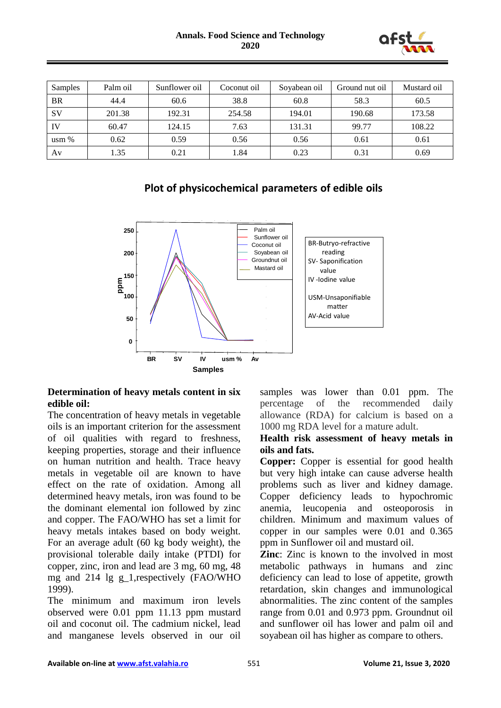

| Samples          | Palm oil | Sunflower oil | Coconut oil | Soyabean oil | Ground nut oil | Mustard oil |
|------------------|----------|---------------|-------------|--------------|----------------|-------------|
| <b>BR</b>        | 44.4     | 60.6          | 38.8        | 60.8         | 58.3           | 60.5        |
| SV               | 201.38   | 192.31        | 254.58      | 194.01       | 190.68         | 173.58      |
| IV               | 60.47    | 124.15        | 7.63        | 131.31       | 99.77          | 108.22      |
| $\text{usm } \%$ | 0.62     | 0.59          | 0.56        | 0.56         | 0.61           | 0.61        |
| Av               | 1.35     | 0.21          | l.84        | 0.23         | 0.31           | 0.69        |

# **Plot of physicochemical parameters of edible oils**



#### **Determination of heavy metals content in six edible oil:**

The concentration of heavy metals in vegetable oils is an important criterion for the assessment of oil qualities with regard to freshness, keeping properties, storage and their influence on human nutrition and health. Trace heavy metals in vegetable oil are known to have effect on the rate of oxidation. Among all determined heavy metals, iron was found to be the dominant elemental ion followed by zinc and copper. The FAO/WHO has set a limit for heavy metals intakes based on body weight. For an average adult (60 kg body weight), the provisional tolerable daily intake (PTDI) for copper, zinc, iron and lead are 3 mg, 60 mg, 48 mg and  $214 \lg g$  1, respectively (FAO/WHO 1999).

The minimum and maximum iron levels observed were 0.01 ppm 11.13 ppm mustard oil and coconut oil. The cadmium nickel, lead and manganese levels observed in our oil

samples was lower than 0.01 ppm. The percentage of the recommended daily allowance (RDA) for calcium is based on a 1000 mg RDA level for a mature adult.

### **Health risk assessment of heavy metals in oils and fats.**

**Copper:** Copper is essential for good health but very high intake can cause adverse health problems such as liver and kidney damage. Copper deficiency leads to hypochromic anemia, leucopenia and osteoporosis in children. Minimum and maximum values of copper in our samples were 0.01 and 0.365 ppm in Sunflower oil and mustard oil.

**Zinc**: Zinc is known to the involved in most metabolic pathways in humans and zinc deficiency can lead to lose of appetite, growth retardation, skin changes and immunological abnormalities. The zinc content of the samples range from 0.01 and 0.973 ppm. Groundnut oil and sunflower oil has lower and palm oil and soyabean oil has higher as compare to others.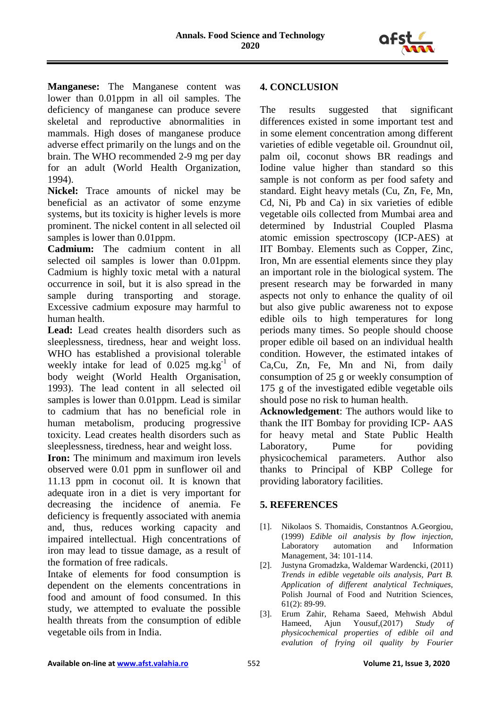

**Manganese:** The Manganese content was lower than 0.01ppm in all oil samples. The deficiency of manganese can produce severe skeletal and reproductive abnormalities in mammals. High doses of manganese produce adverse effect primarily on the lungs and on the brain. The WHO recommended 2-9 mg per day for an adult (World Health Organization, 1994).

**Nickel:** Trace amounts of nickel may be beneficial as an activator of some enzyme systems, but its toxicity is higher levels is more prominent. The nickel content in all selected oil samples is lower than 0.01ppm.

**Cadmium:** The cadmium content in all selected oil samples is lower than 0.01ppm. Cadmium is highly toxic metal with a natural occurrence in soil, but it is also spread in the sample during transporting and storage. Excessive cadmium exposure may harmful to human health.

**Lead:** Lead creates health disorders such as sleeplessness, tiredness, hear and weight loss. WHO has established a provisional tolerable weekly intake for lead of  $0.025$  mg.kg $^{-1}$  of body weight (World Health Organisation, 1993). The lead content in all selected oil samples is lower than 0.01ppm. Lead is similar to cadmium that has no beneficial role in human metabolism, producing progressive toxicity. Lead creates health disorders such as sleeplessness, tiredness, hear and weight loss.

**Iron:** The minimum and maximum iron levels observed were 0.01 ppm in sunflower oil and 11.13 ppm in coconut oil. It is known that adequate iron in a diet is very important for decreasing the incidence of anemia. Fe deficiency is frequently associated with anemia and, thus, reduces working capacity and impaired intellectual. High concentrations of iron may lead to tissue damage, as a result of the formation of free radicals.

Intake of elements for food consumption is dependent on the elements concentrations in food and amount of food consumed. In this study, we attempted to evaluate the possible health threats from the consumption of edible vegetable oils from in India.

## **4. CONCLUSION**

The results suggested that significant differences existed in some important test and in some element concentration among different varieties of edible vegetable oil. Groundnut oil, palm oil, coconut shows BR readings and Iodine value higher than standard so this sample is not conform as per food safety and standard. Eight heavy metals (Cu, Zn, Fe, Mn, Cd, Ni, Pb and Ca) in six varieties of edible vegetable oils collected from Mumbai area and determined by Industrial Coupled Plasma atomic emission spectroscopy (ICP-AES) at IIT Bombay. Elements such as Copper, Zinc, Iron, Mn are essential elements since they play an important role in the biological system. The present research may be forwarded in many aspects not only to enhance the quality of oil but also give public awareness not to expose edible oils to high temperatures for long periods many times. So people should choose proper edible oil based on an individual health condition. However, the estimated intakes of Ca,Cu, Zn, Fe, Mn and Ni, from daily consumption of 25 g or weekly consumption of 175 g of the investigated edible vegetable oils should pose no risk to human health.

**Acknowledgement**: The authors would like to thank the IIT Bombay for providing ICP- AAS for heavy metal and State Public Health Laboratory, Pume for poviding physicochemical parameters. Author also thanks to Principal of KBP College for providing laboratory facilities.

## **5. REFERENCES**

- [1]. Nikolaos S. Thomaidis, Constantnos A.Georgiou, (1999) *Edible oil analysis by flow injection,* Laboratory automation and Information Management, 34: 101-114.
- [2]. Justyna Gromadzka, Waldemar Wardencki, (2011) *Trends in edible vegetable oils analysis, Part B. Application of different analytical Techniques,* Polish Journal of Food and Nutrition Sciences, 61(2): 89-99.
- [3]. Erum Zahir, Rehama Saeed, Mehwish Abdul Hameed, Ajun Yousuf,(2017) *Study of physicochemical properties of edible oil and evalution of frying oil quality by Fourier*